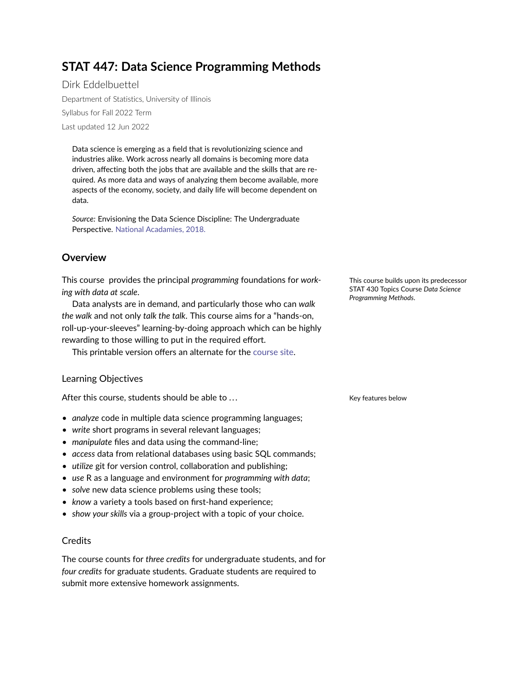# <span id="page-0-0"></span>**STAT 447: Data Science Programming Methods**

Dirk Eddelbuettel Department of Statistics, University of Illinois Syllabus for Fall 2022 Term Last updated 12 Jun 2022

Data science is emerging as a field that is revolutionizing science and industries alike. Work across nearly all domains is becoming more data driven, affecting both the jobs that are available and the skills that are required. As more data and ways of analyzing them become available, more aspects of the economy, society, and daily life will become dependent on data.

*Source:* Envisioning the Data Science Discipline: The Undergraduate Perspective. [National Acadamies, 2018.](https://www.nationalacademies.org/our-work/envisioning-the-data-science-discipline-the-undergraduate-perspective)

# **Overview**

This course provides the principal *programming* foundations for *work-* This course builds upon its predecessor *ing with data at scale*.

Data analysts are in demand, and particularly those who can *walk the walk* and not only *talk the talk*. This course aims for a "hands-on, roll-up-your-sleeves" learning-by-doing approach which can be highly rewarding to those willing to put in the required effort.

This printable version offers an alternate for the [course site.](https://stat447.com)

## Learning Objectives

After this course, students should be able to ... The state of the Key features below

- *analyze* code in multiple data science programming languages;
- *write* short programs in several relevant languages;
- *manipulate* files and data using the command-line;
- *access* data from relational databases using basic SQL commands;
- *utilize* git for version control, collaboration and publishing;
- *use* R as a language and environment for *programming with data*;
- *solve* new data science problems using these tools;
- *know* a variety a tools based on first-hand experience;
- *show your skills* via a group-project with a topic of your choice.

## **Credits**

The course counts for *three credits* for undergraduate students, and for *four credits* for graduate students. Graduate students are required to submit more extensive homework assignments.

STAT 430 Topics Course *Data Science Programming Methods*.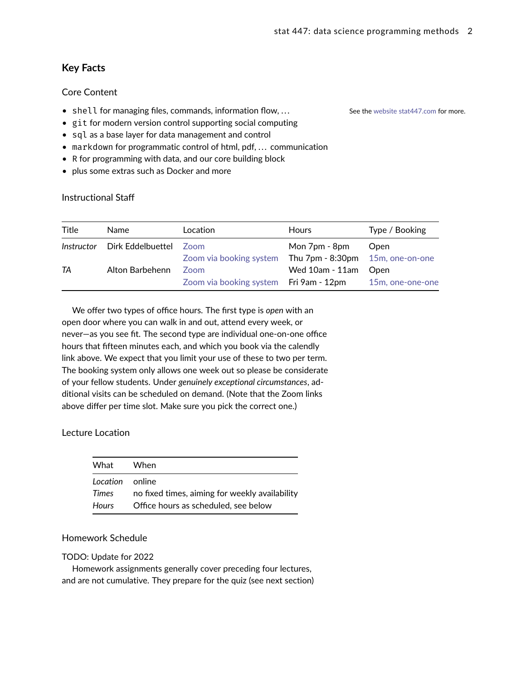# **Key Facts**

## Core Content

- shell for managing files, commands, information flow, ... See the [website stat447.com](https://www.stat447.com) for more.
- git for modern version control supporting social computing
- sql as a base layer for data management and control
- markdown for programmatic control of html, pdf, ... communication
- R for programming with data, and our core building block
- plus some extras such as Docker and more

#### <span id="page-1-0"></span>Instructional Staff

| Title | Name                         | Location                               | <b>Hours</b>                              | Type / Booking   |
|-------|------------------------------|----------------------------------------|-------------------------------------------|------------------|
|       | Instructor Dirk Eddelbuettel | Zoom                                   | Mon 7pm - 8pm                             | Open             |
|       |                              | Zoom via booking system                | Thu $7$ pm $-$ 8:30pm $-$ 15m, one-on-one |                  |
| TA    | Alton Barbehenn              | Zoom                                   | Wed 10am - 11am                           | Open             |
|       |                              | Zoom via booking system Fri 9am - 12pm |                                           | 15m, one-one-one |

We offer two types of office hours. The first type is *open* with an open door where you can walk in and out, attend every week, or never—as you see fit. The second type are individual one-on-one office hours that fifteen minutes each, and which you book via the calendly link above. We expect that you limit your use of these to two per term. The booking system only allows one week out so please be considerate of your fellow students. Under *genuinely exceptional circumstances*, additional visits can be scheduled on demand. (Note that the Zoom links above differ per time slot. Make sure you pick the correct one.)

## Lecture Location

| What                     | When                                           |
|--------------------------|------------------------------------------------|
| Location online<br>Times | no fixed times, aiming for weekly availability |
| <b>Hours</b>             | Office hours as scheduled, see below           |

#### Homework Schedule

#### TODO: Update for 2022

Homework assignments generally cover preceding four lectures, and are not cumulative. They prepare for the quiz (see next section)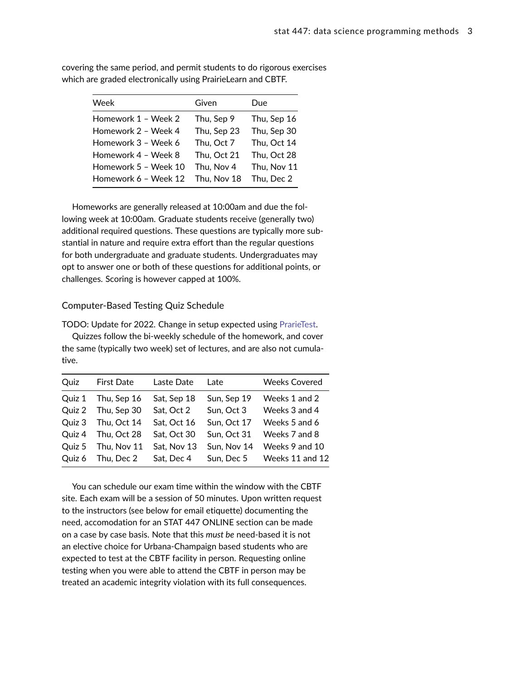| Week                 | Given       | Due         |
|----------------------|-------------|-------------|
| Homework 1 - Week 2  | Thu, Sep 9  | Thu, Sep 16 |
| Homework 2 - Week 4  | Thu, Sep 23 | Thu, Sep 30 |
| Homework 3 - Week 6  | Thu, Oct 7  | Thu, Oct 14 |
| Homework 4 - Week 8  | Thu, Oct 21 | Thu, Oct 28 |
| Homework 5 - Week 10 | Thu, Nov 4  | Thu, Nov 11 |
| Homework 6 - Week 12 | Thu, Nov 18 | Thu, Dec 2  |

covering the same period, and permit students to do rigorous exercises which are graded electronically using PrairieLearn and CBTF.

Homeworks are generally released at 10:00am and due the following week at 10:00am. Graduate students receive (generally two) additional required questions. These questions are typically more substantial in nature and require extra effort than the regular questions for both undergraduate and graduate students. Undergraduates may opt to answer one or both of these questions for additional points, or challenges. Scoring is however capped at 100%.

#### Computer-Based Testing Quiz Schedule

TODO: Update for 2022. Change in setup expected using [PrarieTest.](https://www.prairietest.org) Quizzes follow the bi-weekly schedule of the homework, and cover the same (typically two week) set of lectures, and are also not cumulative.

|             |                   |             | <b>Weeks Covered</b> |
|-------------|-------------------|-------------|----------------------|
| Thu, Sep 16 | Sat, Sep 18       | Sun, Sep 19 | Weeks 1 and 2        |
| Thu, Sep 30 | Sat, Oct 2        | Sun, Oct 3  | Weeks 3 and 4        |
| Thu, Oct 14 | Sat, Oct 16       | Sun, Oct 17 | Weeks 5 and 6        |
| Thu, Oct 28 | Sat, Oct 30       | Sun, Oct 31 | Weeks 7 and 8        |
| Thu, Nov 11 | Sat, Nov 13       | Sun, Nov 14 | Weeks 9 and 10       |
| Thu, Dec 2  | Sat, Dec 4        | Sun, Dec 5  | Weeks 11 and 12      |
|             | <b>First Date</b> | Laste Date  | Late                 |

You can schedule our exam time within the window with the CBTF site. Each exam will be a session of 50 minutes. Upon written request to the instructors (see below for email etiquette) documenting the need, accomodation for an STAT 447 ONLINE section can be made on a case by case basis. Note that this *must be* need-based it is not an elective choice for Urbana-Champaign based students who are expected to test at the CBTF facility in person. Requesting online testing when you were able to attend the CBTF in person may be treated an academic integrity violation with its full consequences.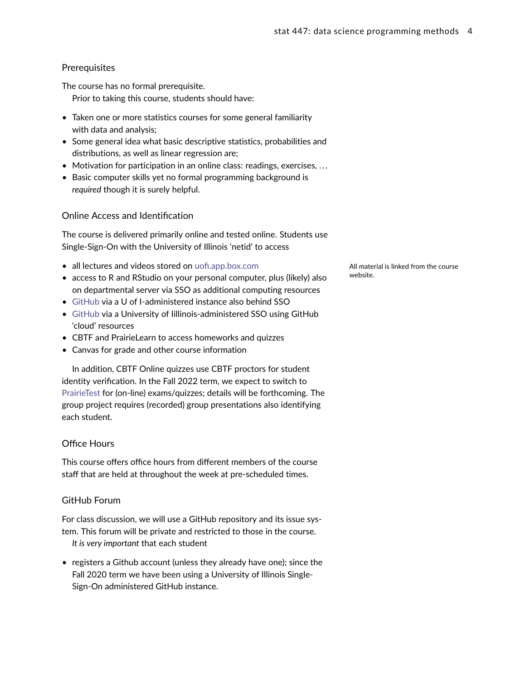### **Prerequisites**

The course has no formal prerequisite.

Prior to taking this course, students should have:

- Taken one or more statistics courses for some general familiarity with data and analysis;
- Some general idea what basic descriptive statistics, probabilities and distributions, as well as linear regression are;
- Motivation for participation in an online class: readings, exercises, ...
- Basic computer skills yet no formal programming background is *required* though it is surely helpful.

#### Online Access and Identification

The course is delivered primarily online and tested online. Students use Single-Sign-On with the University of Illinois 'netid' to access

- all lectures and videos stored on [uofi.app.box.com](https://uofi.app.box.com) All material is linked from the course
- access to R and RStudio on your personal computer, plus (likely) also website. on departmental server via SSO as additional computing resources
- [GitHub](https://github.com) via a U of I-administered instance also behind SSO
- [GitHub](https://github.com) via a University of Iillinois-administered SSO using GitHub 'cloud' resources
- CBTF and PrairieLearn to access homeworks and quizzes
- Canvas for grade and other course information

In addition, CBTF Online quizzes use CBTF proctors for student identity verification. In the Fall 2022 term, we expect to switch to [PrairieTest](https://www.prarietest.org) for (on-line) exams/quizzes; details will be forthcoming. The group project requires (recorded) group presentations also identifying each student.

#### Office Hours

This course offers office hours from different members of the course staff that are held at throughout the week at pre-scheduled times.

#### GitHub Forum

For class discussion, we will use a GitHub repository and its issue system. This forum will be private and restricted to those in the course. *It is very important* that each student

• registers a Github account (unless they already have one); since the Fall 2020 term we have been using a University of Illinois Single-Sign-On administered GitHub instance.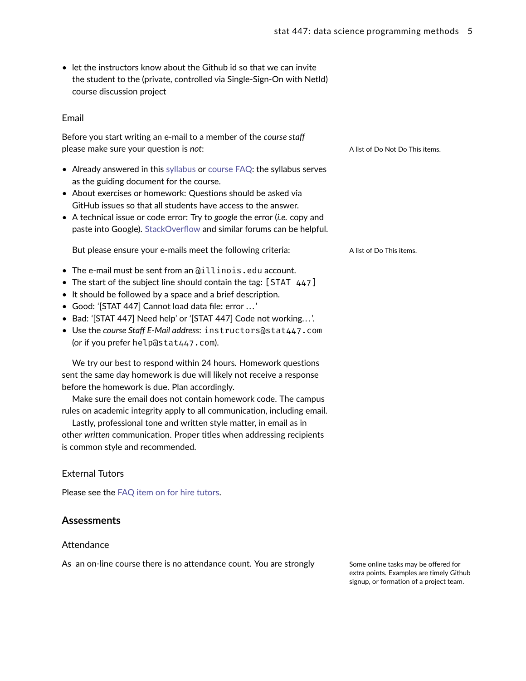• let the instructors know about the Github id so that we can invite the student to the (private, controlled via Single-Sign-On with NetId) course discussion project

#### Email

Before you start writing an e-mail to a member of the *course staff* please make sure your question is *not*: A list of Do Not Do This items.

- Already answered in this [syllabus](#page-0-0) or [course FAQ:](#page-0-0) the syllabus serves as the guiding document for the course.
- About exercises or homework: Questions should be asked via GitHub issues so that all students have access to the answer.
- A technical issue or code error: Try to *google* the error (*i.e.* copy and paste into Google). [StackOverflow](https://stackoverflow.com) and similar forums can be helpful.

But please ensure your e-mails meet the following criteria: A list of Do This items.

- The e-mail must be sent from an @illinois.edu account.
- The start of the subject line should contain the tag:  $[STAT 447]$
- It should be followed by a space and a brief description.
- Good: '[STAT 447] Cannot load data file: error . . . '
- Bad: '[STAT 447] Need help' or '[STAT 447] Code not working...'.
- Use the *course Staff E-Mail address*: instructors@stat447.com (or if you prefer help@stat447.com).

We try our best to respond within 24 hours. Homework questions sent the same day homework is due will likely not receive a response before the homework is due. Plan accordingly.

Make sure the email does not contain homework code. The campus rules on academic integrity apply to all communication, including email.

Lastly, professional tone and written style matter, in email as in other *written* communication. Proper titles when addressing recipients is common style and recommended.

## External Tutors

Please see the FAQ item on for hire tutors.

## **Assessments**

#### **Attendance**

As an on-line course there is no attendance count. You are strongly Some online tasks may be offered for

extra points. Examples are timely Github signup, or formation of a project team.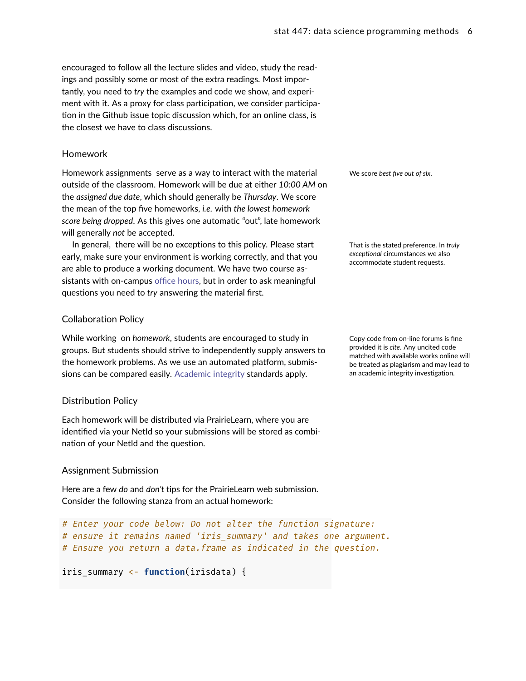encouraged to follow all the lecture slides and video, study the readings and possibly some or most of the extra readings. Most importantly, you need to *try* the examples and code we show, and experiment with it. As a proxy for class participation, we consider participation in the Github issue topic discussion which, for an online class, is the closest we have to class discussions.

#### Homework

Homework assignments serve as a way to interact with the material We score best five out of six. outside of the classroom. Homework will be due at either *10:00 AM* on the *assigned due date*, which should generally be *Thursday*. We score the mean of the top five homeworks, *i.e.* with *the lowest homework score being dropped*. As this gives one automatic "out", late homework will generally *not* be accepted.

In general, there will be no exceptions to this policy. Please start That is the stated preference. In *truly* early, make sure your environment is working correctly, and that you are able to produce a working document. We have two course assistants with on-campus [office hours,](#page-1-0) but in order to ask meaningful questions you need to *try* answering the material first.

## Collaboration Policy

While working on *homework*, students are encouraged to study in Copy code from on-line forums is fine groups. But students should strive to independently supply answers to the homework problems. As we use an automated platform, submissions can be compared easily. [Academic integrity](#page-8-0) standards apply.

## Distribution Policy

Each homework will be distributed via PrairieLearn, where you are identified via your NetId so your submissions will be stored as combination of your NetId and the question.

## Assignment Submission

Here are a few *do* and *don't* tips for the PrairieLearn web submission. Consider the following stanza from an actual homework:

```
# Enter your code below: Do not alter the function signature:
# ensure it remains named 'iris_summary' and takes one argument.
# Ensure you return a data.frame as indicated in the question.
```

```
iris_summary <- function(irisdata) {
```
*exceptional* circumstances we also accommodate student requests.

provided it is *cite*. Any uncited code matched with available works online will be treated as plagiarism and may lead to an academic integrity investigation.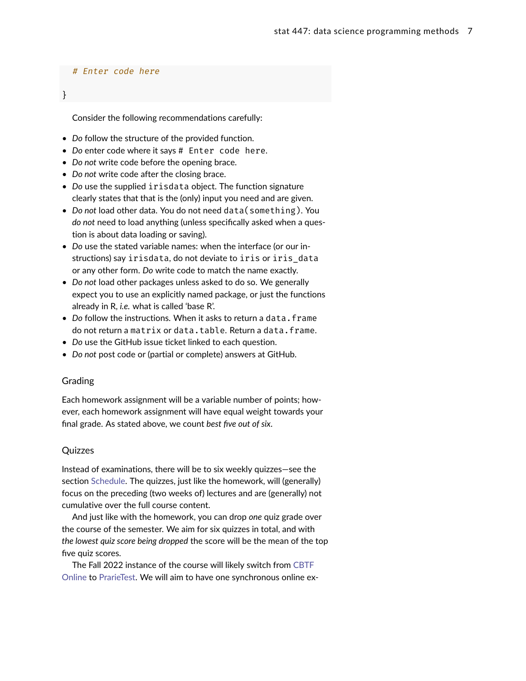#### # Enter code here

}

Consider the following recommendations carefully:

- *Do* follow the structure of the provided function.
- *Do* enter code where it says # Enter code here.
- *Do not* write code before the opening brace.
- *Do not* write code after the closing brace.
- *Do* use the supplied irisdata object. The function signature clearly states that that is the (only) input you need and are given.
- *Do not* load other data. You do not need data(something). You *do not* need to load anything (unless specifically asked when a question is about data loading or saving).
- *Do* use the stated variable names: when the interface (or our instructions) say irisdata, do not deviate to iris or iris\_data or any other form. *Do* write code to match the name exactly.
- *Do not* load other packages unless asked to do so. We generally expect you to use an explicitly named package, or just the functions already in R, *i.e.* what is called 'base R'.
- Do follow the instructions. When it asks to return a data.frame do not return a matrix or data.table. Return a data.frame.
- *Do* use the GitHub issue ticket linked to each question.
- *Do not* post code or (partial or complete) answers at GitHub.

#### Grading

Each homework assignment will be a variable number of points; however, each homework assignment will have equal weight towards your final grade. As stated above, we count *best five out of six*.

#### Quizzes

Instead of examinations, there will be to six weekly quizzes—see the section [Schedule.](#page-0-0) The quizzes, just like the homework, will (generally) focus on the preceding (two weeks of) lectures and are (generally) not cumulative over the full course content.

And just like with the homework, you can drop *one* quiz grade over the course of the semester. We aim for six quizzes in total, and with *the lowest quiz score being dropped* the score will be the mean of the top five quiz scores.

The Fall 2022 instance of the course will likely switch from [CBTF](https://cbtf.engr.illinois.edu/cbtf-online/index.html) [Online](https://cbtf.engr.illinois.edu/cbtf-online/index.html) to [PrarieTest.](https://www.prairietest.org) We will aim to have one synchronous online ex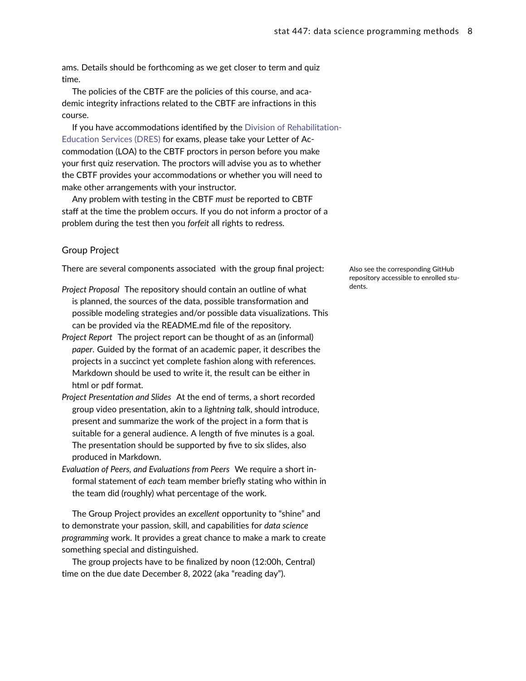ams. Details should be forthcoming as we get closer to term and quiz time.

The policies of the CBTF are the policies of this course, and academic integrity infractions related to the CBTF are infractions in this course.

If you have accommodations identified by the [Division of Rehabilitatio](http://www.disability.illinois.edu/)n-[Education Services \(DRES\)](http://www.disability.illinois.edu/) for exams, please take your Letter of Accommodation (LOA) to the CBTF proctors in person before you make your first quiz reservation. The proctors will advise you as to whether the CBTF provides your accommodations or whether you will need to make other arrangements with your instructor.

Any problem with testing in the CBTF *must* be reported to CBTF staff at the time the problem occurs. If you do not inform a proctor of a problem during the test then you *forfeit* all rights to redress.

#### Group Project

There are several components associated with the group final project: Also see the corresponding GitHub

- Project Proposal The repository should contain an outline of what dents. is planned, the sources of the data, possible transformation and possible modeling strategies and/or possible data visualizations. This can be provided via the README.md file of the repository.
- *Project Report* The project report can be thought of as an (informal) *paper*. Guided by the format of an academic paper, it describes the projects in a succinct yet complete fashion along with references. Markdown should be used to write it, the result can be either in html or pdf format.
- *Project Presentation and Slides* At the end of terms, a short recorded group video presentation, akin to a *lightning talk*, should introduce, present and summarize the work of the project in a form that is suitable for a general audience. A length of five minutes is a goal. The presentation should be supported by five to six slides, also produced in Markdown.
- *Evaluation of Peers, and Evaluations from Peers* We require a short informal statement of *each* team member briefly stating who within in the team did (roughly) what percentage of the work.

The Group Project provides an *excellent* opportunity to "shine" and to demonstrate your passion, skill, and capabilities for *data science programming* work. It provides a great chance to make a mark to create something special and distinguished.

The group projects have to be finalized by noon (12:00h, Central) time on the due date December 8, 2022 (aka "reading day").

repository accessible to enrolled stu-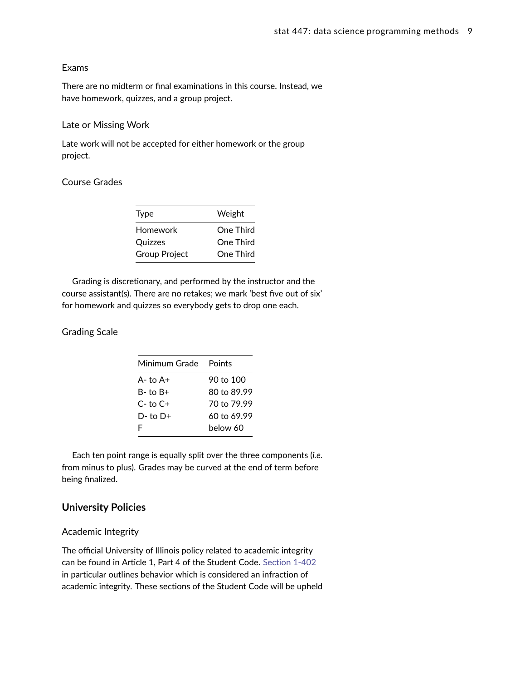#### Exams

There are no midterm or final examinations in this course. Instead, we have homework, quizzes, and a group project.

#### Late or Missing Work

Late work will not be accepted for either homework or the group project.

#### Course Grades

| <b>Type</b>          | Weight    |
|----------------------|-----------|
| Homework             | One Third |
| Quizzes              | One Third |
| <b>Group Project</b> | One Third |
|                      |           |

Grading is discretionary, and performed by the instructor and the course assistant(s). There are no retakes; we mark 'best five out of six' for homework and quizzes so everybody gets to drop one each.

## Grading Scale

| Minimum Grade | Points      |
|---------------|-------------|
| $A - t_0 A +$ | 90 to 100   |
| B- to B+      | 80 to 89.99 |
| $C-$ to $C+$  | 70 to 79.99 |
| $D-$ to $D+$  | 60 to 69.99 |
| F             | helow 60    |

Each ten point range is equally split over the three components (*i.e.* from minus to plus). Grades may be curved at the end of term before being finalized.

# **University Policies**

#### <span id="page-8-0"></span>Academic Integrity

The official University of Illinois policy related to academic integrity can be found in Article 1, Part 4 of the Student Code. [Section 1-402](http://studentcode.illinois.edu/article1_part4_1-402.html) in particular outlines behavior which is considered an infraction of academic integrity. These sections of the Student Code will be upheld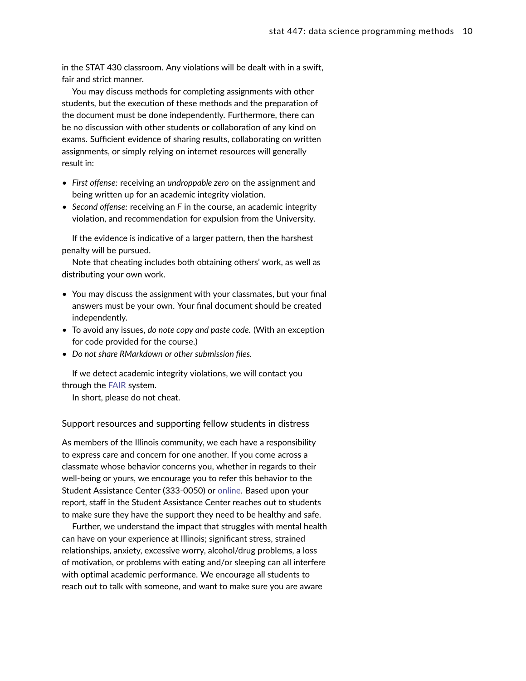in the STAT 430 classroom. Any violations will be dealt with in a swift, fair and strict manner.

You may discuss methods for completing assignments with other students, but the execution of these methods and the preparation of the document must be done independently. Furthermore, there can be no discussion with other students or collaboration of any kind on exams. Sufficient evidence of sharing results, collaborating on written assignments, or simply relying on internet resources will generally result in:

- *First offense:* receiving an *undroppable zero* on the assignment and being written up for an academic integrity violation.
- *Second offense:* receiving an *F* in the course, an academic integrity violation, and recommendation for expulsion from the University.

If the evidence is indicative of a larger pattern, then the harshest penalty will be pursued.

Note that cheating includes both obtaining others' work, as well as distributing your own work.

- You may discuss the assignment with your classmates, but your final answers must be your own. Your final document should be created independently.
- To avoid any issues, *do note copy and paste code.* (With an exception for code provided for the course.)
- *Do not share RMarkdown or other submission files.*

If we detect academic integrity violations, we will contact you through the [FAIR](https://my.atlas.illinois.edu/fair/) system.

In short, please do not cheat.

Support resources and supporting fellow students in distress

As members of the Illinois community, we each have a responsibility to express care and concern for one another. If you come across a classmate whose behavior concerns you, whether in regards to their well-being or yours, we encourage you to refer this behavior to the Student Assistance Center (333-0050) or [online.](https://odos.illinois.edu/community-of-care/referral/) Based upon your report, staff in the Student Assistance Center reaches out to students to make sure they have the support they need to be healthy and safe.

Further, we understand the impact that struggles with mental health can have on your experience at Illinois; significant stress, strained relationships, anxiety, excessive worry, alcohol/drug problems, a loss of motivation, or problems with eating and/or sleeping can all interfere with optimal academic performance. We encourage all students to reach out to talk with someone, and want to make sure you are aware